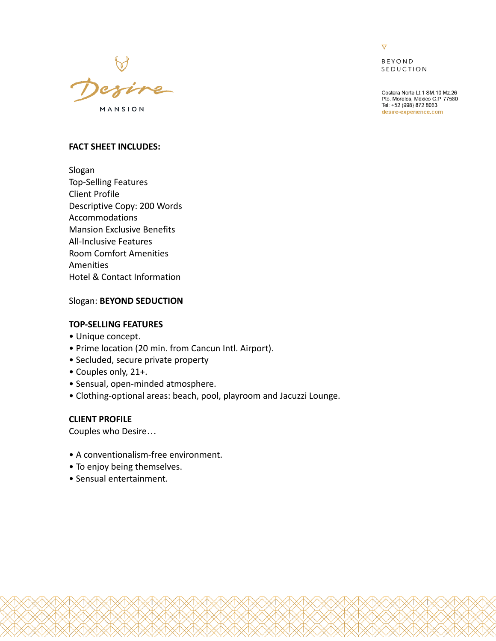

 $\overline{\nabla}$ 

**BEYOND** SEDUCTION

Costera Norte Lt.1 SM.10 Mz.26 Pto. Morelos, México C.P. 77580 Tel: +52 (998) 872 8063 desire-experience.com

### **FACT SHEET INCLUDES:**

Slogan Top-Selling Features Client Profile Descriptive Copy: 200 Words Accommodations Mansion Exclusive Benefits All-Inclusive Features Room Comfort Amenities Amenities Hotel & Contact Information

## Slogan: **BEYOND SEDUCTION**

# **TOP-SELLING FEATURES**

- Unique concept.
- Prime location (20 min. from Cancun Intl. Airport).
- Secluded, secure private property
- Couples only, 21+.
- Sensual, open-minded atmosphere.
- Clothing-optional areas: beach, pool, playroom and Jacuzzi Lounge.

## **CLIENT PROFILE**

Couples who Desire…

- A conventionalism-free environment.
- To enjoy being themselves.
- Sensual entertainment.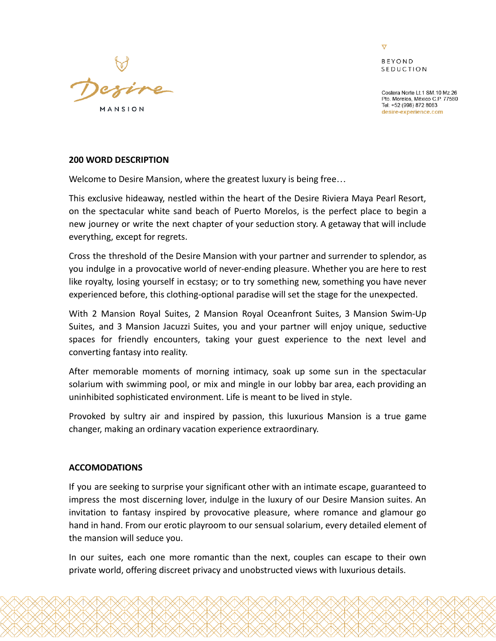

 $\overline{\nabla}$ **REYOND** SEDUCTION

Costera Norte I t 1 SM 10 Mz 26 Pto. Morelos, México C.P. 77580 Tel: +52 (998) 872 8063 desire-experience.com

## **200 WORD DESCRIPTION**

Welcome to Desire Mansion, where the greatest luxury is being free…

This exclusive hideaway, nestled within the heart of the Desire Riviera Maya Pearl Resort, on the spectacular white sand beach of Puerto Morelos, is the perfect place to begin a new journey or write the next chapter of your seduction story. A getaway that will include everything, except for regrets.

Cross the threshold of the Desire Mansion with your partner and surrender to splendor, as you indulge in a provocative world of never-ending pleasure. Whether you are here to rest like royalty, losing yourself in ecstasy; or to try something new, something you have never experienced before, this clothing-optional paradise will set the stage for the unexpected.

With 2 Mansion Royal Suites, 2 Mansion Royal Oceanfront Suites, 3 Mansion Swim-Up Suites, and 3 Mansion Jacuzzi Suites, you and your partner will enjoy unique, seductive spaces for friendly encounters, taking your guest experience to the next level and converting fantasy into reality.

After memorable moments of morning intimacy, soak up some sun in the spectacular solarium with swimming pool, or mix and mingle in our lobby bar area, each providing an uninhibited sophisticated environment. Life is meant to be lived in style.

Provoked by sultry air and inspired by passion, this luxurious Mansion is a true game changer, making an ordinary vacation experience extraordinary.

## **ACCOMODATIONS**

If you are seeking to surprise your significant other with an intimate escape, guaranteed to impress the most discerning lover, indulge in the luxury of our Desire Mansion suites. An invitation to fantasy inspired by provocative pleasure, where romance and glamour go hand in hand. From our erotic playroom to our sensual solarium, every detailed element of the mansion will seduce you.

In our suites, each one more romantic than the next, couples can escape to their own private world, offering discreet privacy and unobstructed views with luxurious details.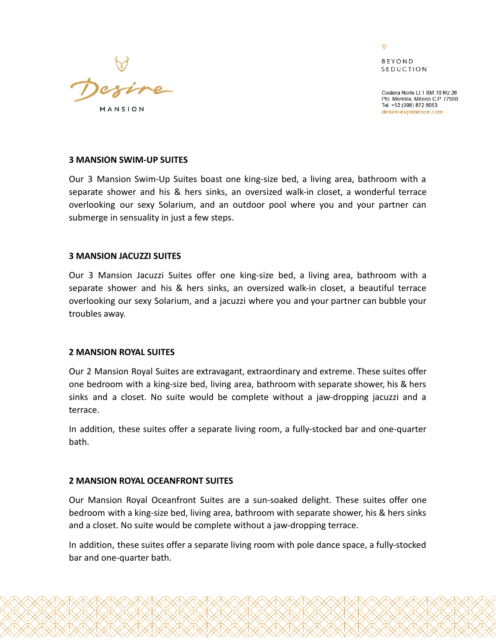

 $\overline{\nabla}$ **REYOND SEDUCTION** 

Costera Norte Lt.1 SM.10 Mz.26 Pto. Morelos, México C.P. 77580 Tel: +52 (998) 872 8063 desire-experience.com

### **3 MANSION SWIM-UP SUITES**

Our 3 Mansion Swim-Up Suites boast one king-size bed, a living area, bathroom with a separate shower and his & hers sinks, an oversized walk-in closet, a wonderful terrace overlooking our sexy Solarium, and an outdoor pool where you and your partner can submerge in sensuality in just a few steps.

### **3 MANSION JACUZZI SUITES**

Our 3 Mansion Jacuzzi Suites offer one king-size bed, a living area, bathroom with a separate shower and his & hers sinks, an oversized walk-in closet, a beautiful terrace overlooking our sexy Solarium, and a jacuzzi where you and your partner can bubble your troubles away.

#### **2 MANSION ROYAL SUITES**

Our 2 Mansion Royal Suites are extravagant, extraordinary and extreme. These suites offer one bedroom with a king-size bed, living area, bathroom with separate shower, his & hers sinks and a closet. No suite would be complete without a jaw-dropping jacuzzi and a terrace.

In addition, these suites offer a separate living room, a fully-stocked bar and one-quarter bath.

## **2 MANSION ROYAL OCEANFRONT SUITES**

Our Mansion Royal Oceanfront Suites are a sun-soaked delight. These suites offer one bedroom with a king-size bed, living area, bathroom with separate shower, his & hers sinks and a closet. No suite would be complete without a jaw-dropping terrace.

In addition, these suites offer a separate living room with pole dance space, a fully-stocked bar and one-quarter bath.